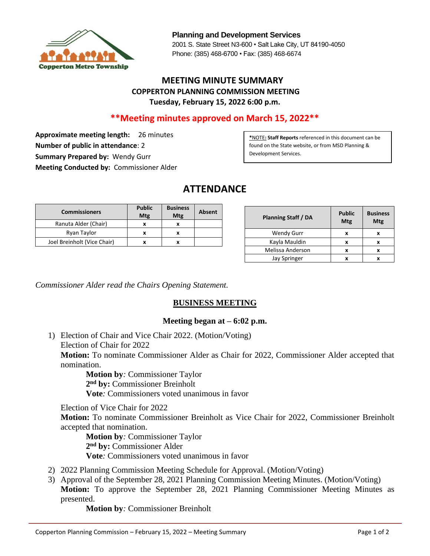

**Planning and Development Services** 2001 S. State Street N3-600 • Salt Lake City, UT 84190-4050 Phone: (385) 468-6700 • Fax: (385) 468-6674

## **MEETING MINUTE SUMMARY COPPERTON PLANNING COMMISSION MEETING Tuesday, February 15, 2022 6:00 p.m.**

## **\*\*Meeting minutes approved on March 15, 2022\*\***

**Approximate meeting length:** 26 minutes **Number of public in attendance**: 2 **Summary Prepared by:** Wendy Gurr **Meeting Conducted by:** Commissioner Alder

**\***NOTE**: Staff Reports** referenced in this document can be found on the State website, or from MSD Planning & Development Services.

# **ATTENDANCE**

| <b>Commissioners</b>        | <b>Public</b><br>Mtg | <b>Business</b><br>Mtg | Absent |
|-----------------------------|----------------------|------------------------|--------|
| Ranuta Alder (Chair)        |                      |                        |        |
| Ryan Taylor                 | x                    | x                      |        |
| Joel Breinholt (Vice Chair) |                      |                        |        |

| Planning Staff / DA | <b>Public</b><br>Mtg | <b>Business</b><br>Mtg |
|---------------------|----------------------|------------------------|
| <b>Wendy Gurr</b>   |                      |                        |
| Kayla Mauldin       | x                    | x                      |
| Melissa Anderson    |                      |                        |
| Jay Springer        |                      |                        |

*Commissioner Alder read the Chairs Opening Statement.*

## **BUSINESS MEETING**

#### **Meeting began at – 6:02 p.m.**

1) Election of Chair and Vice Chair 2022. (Motion/Voting) Election of Chair for 2022 **Motion:** To nominate Commissioner Alder as Chair for 2022, Commissioner Alder accepted that nomination.

 **Motion by***:* Commissioner Taylor **2 nd by:** Commissioner Breinholt **Vote***:* Commissioners voted unanimous in favor

Election of Vice Chair for 2022

**Motion:** To nominate Commissioner Breinholt as Vice Chair for 2022, Commissioner Breinholt accepted that nomination.

**Motion by***:* Commissioner Taylor **2 nd by:** Commissioner Alder **Vote***:* Commissioners voted unanimous in favor

- 2) 2022 Planning Commission Meeting Schedule for Approval. (Motion/Voting)
- 3) Approval of the September 28, 2021 Planning Commission Meeting Minutes. (Motion/Voting) **Motion:** To approve the September 28, 2021 Planning Commissioner Meeting Minutes as presented.

**Motion by***:* Commissioner Breinholt